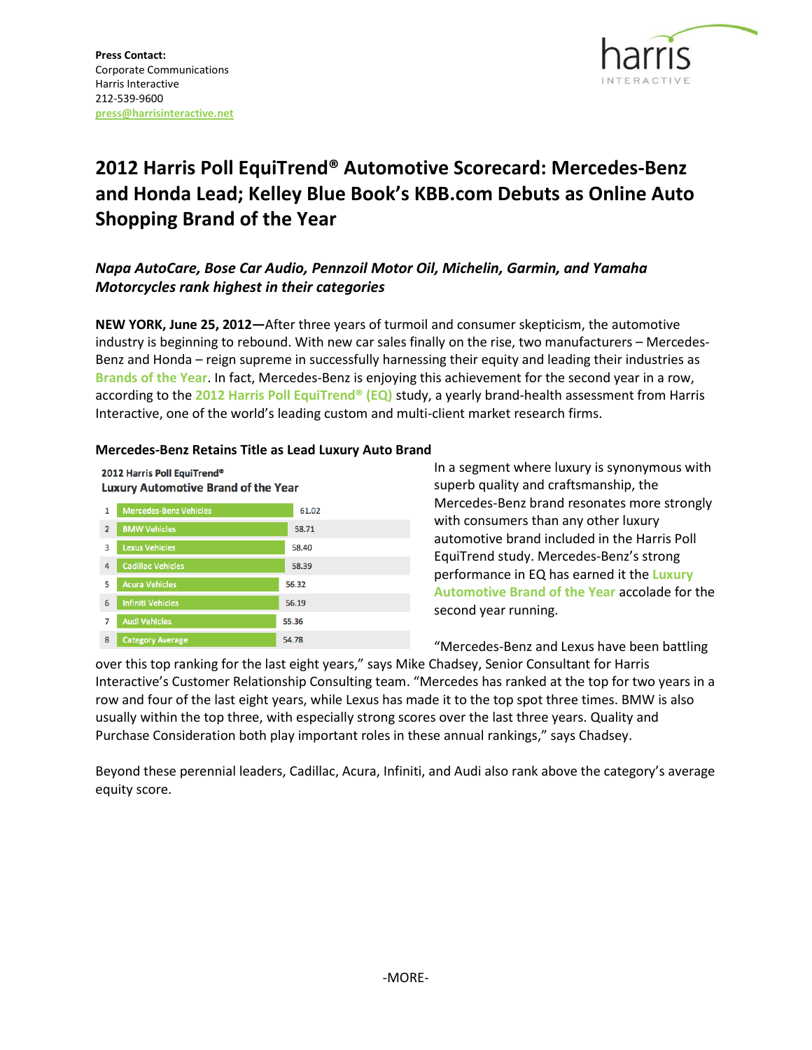

# **2012 Harris Poll EquiTrend® Automotive Scorecard: Mercedes-Benz and Honda Lead; Kelley Blue Book's KBB.com Debuts as Online Auto Shopping Brand of the Year**

# *Napa AutoCare, Bose Car Audio, Pennzoil Motor Oil, Michelin, Garmin, and Yamaha Motorcycles rank highest in their categories*

**NEW YORK, June 25, 2012—**After three years of turmoil and consumer skepticism, the automotive industry is beginning to rebound. With new car sales finally on the rise, two manufacturers – Mercedes-Benz and Honda – reign supreme in successfully harnessing their equity and leading their industries as **Brands of the Year**. In fact, Mercedes-Benz is enjoying this achievement for the second year in a row, according to the **2012 Harris Poll EquiTrend® (EQ)** study, a yearly brand-health assessment from Harris Interactive, one of the world's leading custom and multi-client market research firms.

# **Mercedes-Benz Retains Title as Lead Luxury Auto Brand**

56.32

56.19

55.36

54.78

2012 Harris Poll EquiTrend® **Luxury Automotive Brand of the Year** 1 Mercedes-Benz Vehicl 61.02 2 BMW Vehicles 58.71 **3** Lexus Vehicles 58.40 4 Cadillac Vehicles 58.39

5 Acura Vehicles

6 Infiniti Vehicles

7 Audi Vehicles

8 Category Average

In a segment where luxury is synonymous with superb quality and craftsmanship, the Mercedes-Benz brand resonates more strongly with consumers than any other luxury automotive brand included in the Harris Poll EquiTrend study. Mercedes-Benz's strong performance in EQ has earned it the **[Luxury](http://www.harrisinteractive.com/insights/EquiTrendRankings.aspx#Automotive)  [Automotive Brand of the Year](http://www.harrisinteractive.com/insights/EquiTrendRankings.aspx#Automotive)** accolade for the second year running.

"Mercedes-Benz and Lexus have been battling

over this top ranking for the last eight years," says Mike Chadsey, Senior Consultant for Harris Interactive's Customer Relationship Consulting team. "Mercedes has ranked at the top for two years in a row and four of the last eight years, while Lexus has made it to the top spot three times. BMW is also usually within the top three, with especially strong scores over the last three years. Quality and Purchase Consideration both play important roles in these annual rankings," says Chadsey.

Beyond these perennial leaders, Cadillac, Acura, Infiniti, and Audi also rank above the category's average equity score.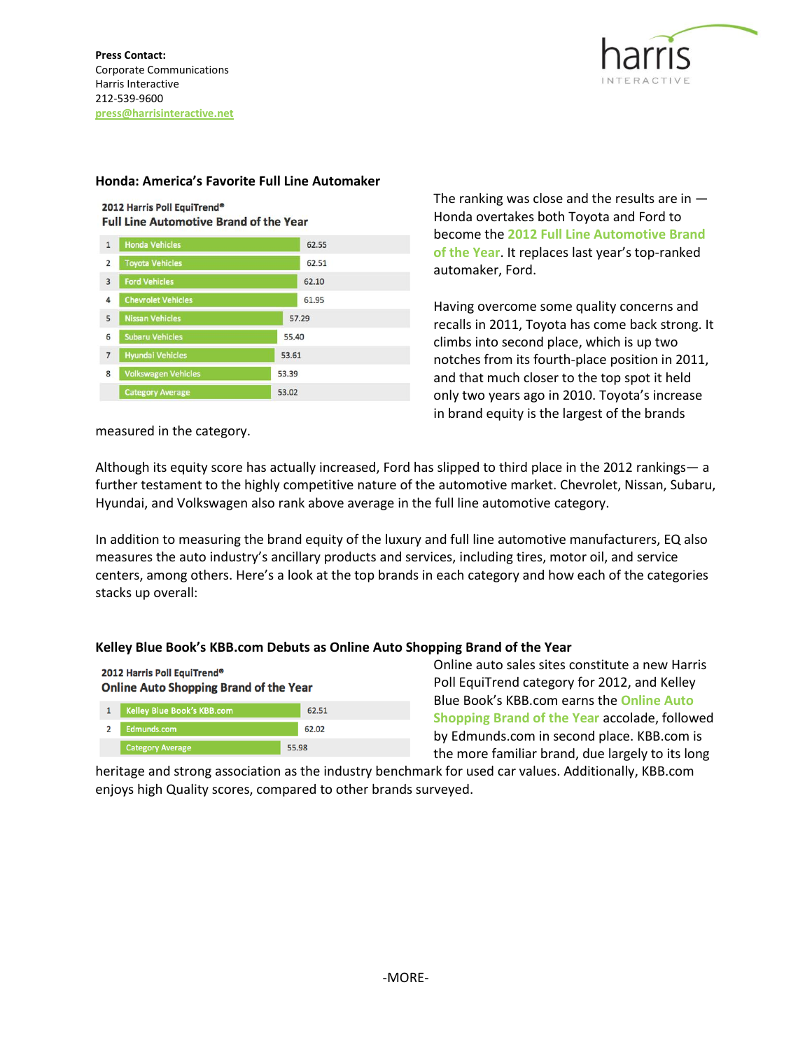

### **Honda: America's Favorite Full Line Automaker**



| $\mathbf{1}$   | <b>Honda Vehicles</b>      | 62.55 |
|----------------|----------------------------|-------|
| 2              | <b>Toyota Vehicles</b>     | 62.51 |
| $\overline{3}$ | <b>Ford Vehicles</b>       | 62.10 |
| 4              | <b>Chevrolet Vehicles</b>  | 61.95 |
| 5              | <b>Nissan Vehicles</b>     | 57.29 |
| 6              | <b>Subaru Vehicles</b>     | 55.40 |
| $\overline{7}$ | <b>Hyundai Vehicles</b>    | 53.61 |
| 8              | <b>Volkswagen Vehicles</b> | 53.39 |
|                | <b>Category Average</b>    | 53.02 |

The ranking was close and the results are in  $-$ Honda overtakes both Toyota and Ford to become the **[2012 Full Line Automotive Brand](http://www.harrisinteractive.com/insights/EquiTrendRankings.aspx#Automotive)  [of the Year](http://www.harrisinteractive.com/insights/EquiTrendRankings.aspx#Automotive)**. It replaces last year's top-ranked automaker, Ford.

Having overcome some quality concerns and recalls in 2011, Toyota has come back strong. It climbs into second place, which is up two notches from its fourth-place position in 2011, and that much closer to the top spot it held only two years ago in 2010. Toyota's increase in brand equity is the largest of the brands

measured in the category.

Although its equity score has actually increased, Ford has slipped to third place in the 2012 rankings— a further testament to the highly competitive nature of the automotive market. Chevrolet, Nissan, Subaru, Hyundai, and Volkswagen also rank above average in the full line automotive category.

In addition to measuring the brand equity of the luxury and full line automotive manufacturers, EQ also measures the auto industry's ancillary products and services, including tires, motor oil, and service centers, among others. Here's a look at the top brands in each category and how each of the categories stacks up overall:

# **Kelley Blue Book's KBB.com Debuts as Online Auto Shopping Brand of the Year**

2012 Harris Poll EquiTrend® **Online Auto Shopping Brand of the Year** 



[Online auto sales sites](http://www.harrisinteractive.com/insights/equitrendrankings.aspx#OnlineOrganizations) constitute a new Harris Poll EquiTrend category for 2012, and Kelley Blue Book's KBB.com earns the **Online Auto Shopping Brand of the Year** accolade, followed by Edmunds.com in second place. KBB.com is the more familiar brand, due largely to its long

heritage and strong association as the industry benchmark for used car values. Additionally, KBB.com enjoys high Quality scores, compared to other brands surveyed.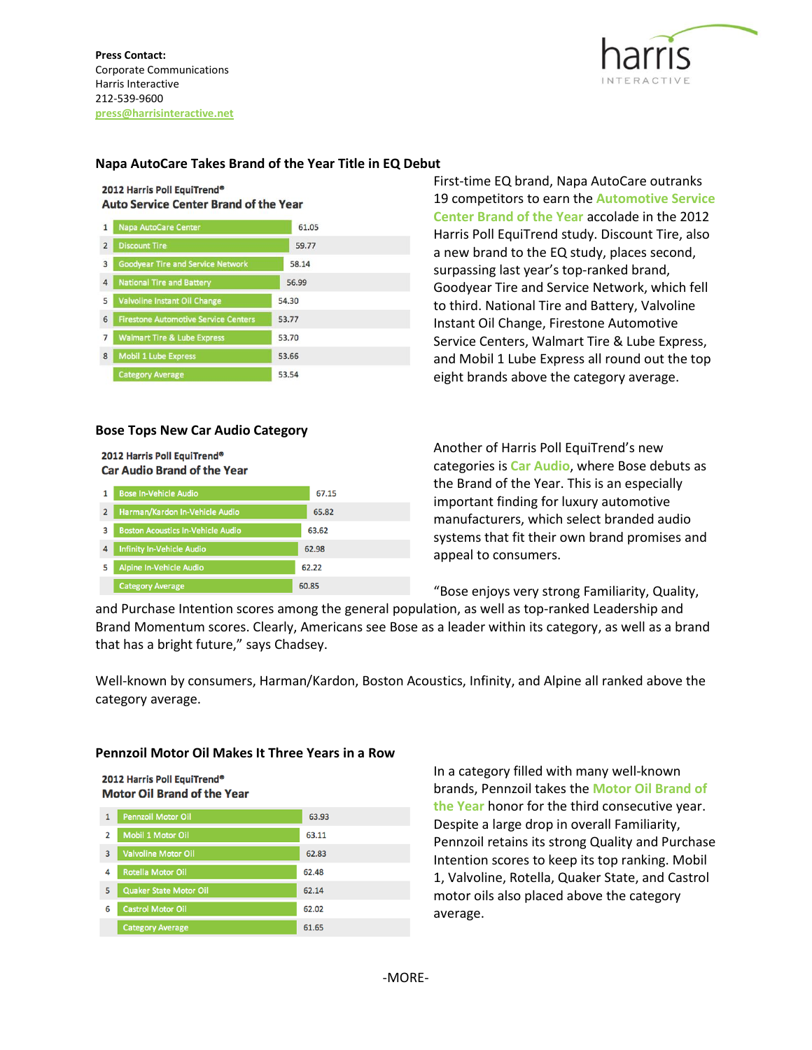**Press Contact:** Corporate Communications Harris Interactive 212-539-9600 **press@harrisinteractive.net**



# **Napa AutoCare Takes Brand of the Year Title in EQ Debut**

#### 2012 Harris Poll EquiTrend® **Auto Service Center Brand of the Year**

| 1              | <b>Napa AutoCare Center</b>                 | 61.05 |  |
|----------------|---------------------------------------------|-------|--|
| $\overline{2}$ | <b>Discount Tire</b>                        | 59.77 |  |
| 3              | <b>Goodyear Tire and Service Network</b>    | 58.14 |  |
| 4              | <b>National Tire and Battery</b>            | 56.99 |  |
| 5              | Valvoline Instant Oil Change                | 54.30 |  |
| 6              | <b>Firestone Automotive Service Centers</b> | 53.77 |  |
| 7              | <b>Walmart Tire &amp; Lube Express</b>      | 53.70 |  |
| 8              | <b>Mobil 1 Lube Express</b>                 | 53.66 |  |
|                | <b>Category Average</b>                     | 53.54 |  |

#### **Bose Tops New Car Audio Category**

#### 2012 Harris Poll EquiTrend® **Car Audio Brand of the Year**

|   | <b>Bose In-Vehicle Audio</b>             | 67.15 |
|---|------------------------------------------|-------|
| 2 | Harman/Kardon In-Vehicle Audio           | 65.82 |
| 3 | <b>Boston Acoustics In-Vehicle Audio</b> | 63.62 |
| 4 | <b>Infinity In-Vehicle Audio</b>         | 62.98 |
| 5 | Alpine In-Vehicle Audio                  | 62.22 |
|   | <b>Category Average</b>                  | 60.85 |

First-time EQ brand, Napa AutoCare outranks 19 competitors to earn the **[Automotive Service](http://www.harrisinteractive.com/insights/equitrendrankings.aspx#Automotive)  [Center Brand of the Year](http://www.harrisinteractive.com/insights/equitrendrankings.aspx#Automotive)** accolade in the 2012 Harris Poll EquiTrend study. Discount Tire, also a new brand to the EQ study, places second, surpassing last year's top-ranked brand, Goodyear Tire and Service Network, which fell to third. National Tire and Battery, Valvoline Instant Oil Change, Firestone Automotive Service Centers, Walmart Tire & Lube Express, and Mobil 1 Lube Express all round out the top eight brands above the category average.

Another of Harris Poll EquiTrend's new categories is **[Car Audio](http://www.harrisinteractive.com/insights/equitrendrankings.aspx#ConsumerElectronics)**, where Bose debuts as the Brand of the Year. This is an especially important finding for luxury automotive manufacturers, which select branded audio systems that fit their own brand promises and appeal to consumers.

"Bose enjoys very strong Familiarity, Quality,

and Purchase Intention scores among the general population, as well as top-ranked Leadership and Brand Momentum scores. Clearly, Americans see Bose as a leader within its category, as well as a brand that has a bright future," says Chadsey.

Well-known by consumers, Harman/Kardon, Boston Acoustics, Infinity, and Alpine all ranked above the category average.

#### **Pennzoil Motor Oil Makes It Three Years in a Row**

2012 Harris Poll EquiTrend® **Motor Oil Brand of the Year** 

| 1 | <b>Pennzoil Motor Oil</b>     | 63.93 |
|---|-------------------------------|-------|
| 2 | <b>Mobil 1 Motor Oil</b>      | 63.11 |
| 3 | <b>Valvoline Motor Oil</b>    | 62.83 |
| 4 | <b>Rotella Motor Oil</b>      | 62.48 |
| 5 | <b>Quaker State Motor Oil</b> | 62.14 |
| 6 | <b>Castrol Motor Oil</b>      | 62.02 |
|   | <b>Category Average</b>       | 61.65 |

In a category filled with many well-known brands, Pennzoil takes the **[Motor Oil Brand of](http://www.harrisinteractive.com/insights/equitrendrankings.aspx#OtherProducts)  [the Year](http://www.harrisinteractive.com/insights/equitrendrankings.aspx#OtherProducts)** honor for the third consecutive year. Despite a large drop in overall Familiarity, Pennzoil retains its strong Quality and Purchase Intention scores to keep its top ranking. Mobil 1, Valvoline, Rotella, Quaker State, and Castrol motor oils also placed above the category average.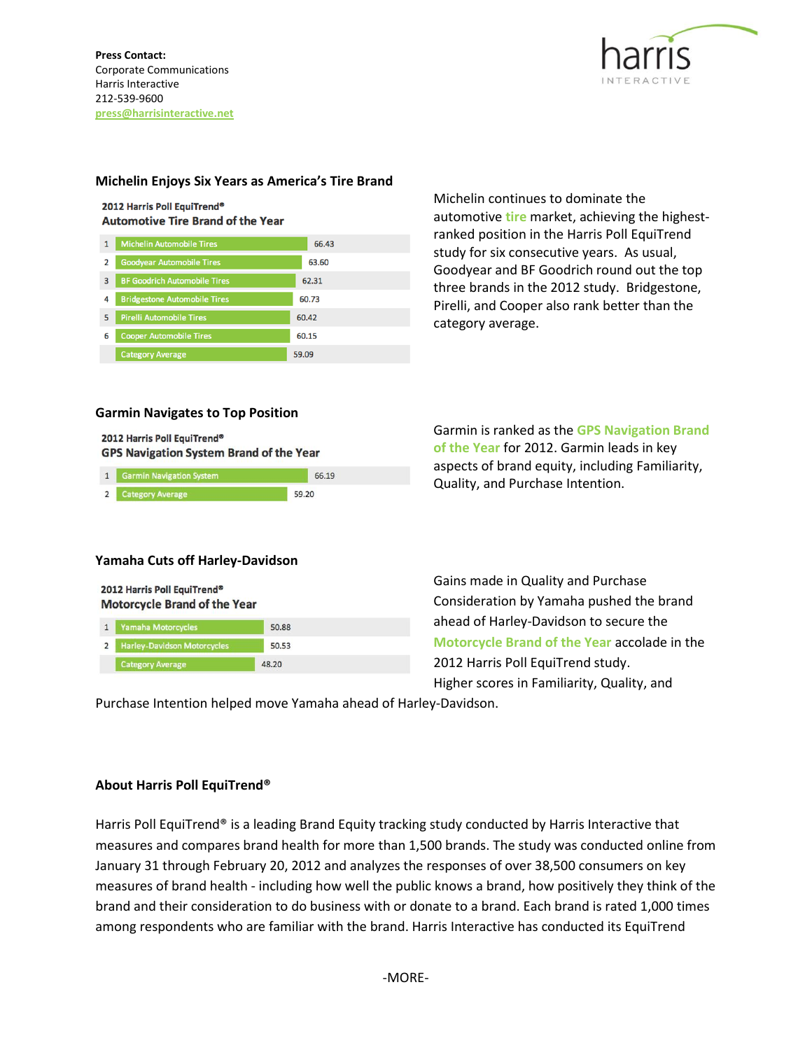

# **Michelin Enjoys Six Years as America's Tire Brand**

#### 2012 Harris Poll EquiTrend® **Automotive Tire Brand of the Year**

| 1 | <b>Michelin Automobile Tires</b>    | 66.43 |
|---|-------------------------------------|-------|
| 2 | <b>Goodyear Automobile Tires</b>    | 63.60 |
| 3 | <b>BF Goodrich Automobile Tires</b> | 62.31 |
| 4 | <b>Bridgestone Automobile Tires</b> | 60.73 |
| 5 | <b>Pirelli Automobile Tires</b>     | 60.42 |
| 6 | <b>Cooper Automobile Tires</b>      | 60.15 |
|   | <b>Category Average</b>             | 59.09 |

Michelin continues to dominate the automotive **[tire](http://www.harrisinteractive.com/insights/equitrendrankings.aspx#Automotive)** market, achieving the highestranked position in the Harris Poll EquiTrend study for six consecutive years. As usual, Goodyear and BF Goodrich round out the top three brands in the 2012 study. Bridgestone, Pirelli, and Cooper also rank better than the category average.

# **Garmin Navigates to Top Position**

2012 Harris Poll EquiTrend® **GPS Navigation System Brand of the Year** 

| 1 Garmin Navigation System | 66.19 |
|----------------------------|-------|
| 2 Category Average         | 59.20 |

Garmin is ranked as the **[GPS Navigation Brand](http://www.harrisinteractive.com/insights/equitrendrankings.aspx#ConsumerElectronics)  [of the Year](http://www.harrisinteractive.com/insights/equitrendrankings.aspx#ConsumerElectronics)** for 2012. Garmin leads in key aspects of brand equity, including Familiarity, Quality, and Purchase Intention.

# **Yamaha Cuts off Harley-Davidson**

| 2012 Harris Poll EquiTrend® |                                     |       |
|-----------------------------|-------------------------------------|-------|
|                             | <b>Motorcycle Brand of the Year</b> |       |
|                             | 1 Vamaha Motorcycles                | 50.89 |

| <b>Harley-Davidson Motorcycles</b> | 50.53 |  |
|------------------------------------|-------|--|
| <b>Category Average</b>            | 48.20 |  |

Gains made in Quality and Purchase Consideration by Yamaha pushed the brand ahead of Harley-Davidson to secure the **[Motorcycle Brand of the Year](http://www.harrisinteractive.com/insights/equitrendrankings.aspx#Motorcycles)** accolade in the 2012 Harris Poll EquiTrend study. Higher scores in Familiarity, Quality, and

Purchase Intention helped move Yamaha ahead of Harley-Davidson.

# **About Harris Poll EquiTrend®**

Harris Poll EquiTrend® is a leading Brand Equity tracking study conducted by Harris Interactive that measures and compares brand health for more than 1,500 brands. The study was conducted online from January 31 through February 20, 2012 and analyzes the responses of over 38,500 consumers on key measures of brand health - including how well the public knows a brand, how positively they think of the brand and their consideration to do business with or donate to a brand. Each brand is rated 1,000 times among respondents who are familiar with the brand. Harris Interactive has conducted its EquiTrend